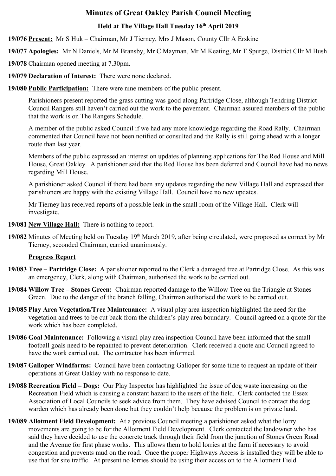# **Minutes of Great Oakley Parish Council Meeting**

# **Held at The Village Hall Tuesday 16th April 2019**

**19/076 Present:** Mr S Huk – Chairman, Mr J Tierney, Mrs J Mason, County Cllr A Erskine

**19/077 Apologies:** Mr N Daniels, Mr M Bransby, Mr C Mayman, Mr M Keating, Mr T Spurge, District Cllr M Bush

**19/078** Chairman opened meeting at 7.30pm.

**19/079 Declaration of Interest:** There were none declared.

**19/080 Public Participation:** There were nine members of the public present.

Parishioners present reported the grass cutting was good along Partridge Close, although Tendring District Council Rangers still haven't carried out the work to the pavement. Chairman assured members of the public that the work is on The Rangers Schedule.

A member of the public asked Council if we had any more knowledge regarding the Road Rally. Chairman commented that Council have not been notified or consulted and the Rally is still going ahead with a longer route than last year.

Members of the public expressed an interest on updates of planning applications for The Red House and Mill House, Great Oakley. A parishioner said that the Red House has been deferred and Council have had no news regarding Mill House.

A parishioner asked Council if there had been any updates regarding the new Village Hall and expressed that parishioners are happy with the existing Village Hall. Council have no new updates.

Mr Tierney has received reports of a possible leak in the small room of the Village Hall. Clerk will investigate.

- **19/081 New Village Hall:** There is nothing to report.
- 19/082 Minutes of Meeting held on Tuesday 19<sup>th</sup> March 2019, after being circulated, were proposed as correct by Mr Tierney, seconded Chairman, carried unanimously.

# **Progress Report**

- **19/083 Tree Partridge Close:** A parishioner reported to the Clerk a damaged tree at Partridge Close. As this was an emergency, Clerk, along with Chairman, authorised the work to be carried out.
- **19/084 Willow Tree Stones Green:** Chairman reported damage to the Willow Tree on the Triangle at Stones Green. Due to the danger of the branch falling, Chairman authorised the work to be carried out.
- **19/085 Play Area Vegetation/Tree Maintenance:** A visual play area inspection highlighted the need for the vegetation and trees to be cut back from the children's play area boundary.Council agreed on a quote for the work which has been completed.
- **19/086 Goal Maintenance:** Following a visual play area inspection Council have been informed that the small football goals need to be repainted to prevent deterioration. Clerk received a quote and Council agreed to have the work carried out. The contractor has been informed.
- **19/087 Galloper Windfarms:** Council have been contacting Galloper for some time to request an update of their operations at Great Oakley with no response to date.
- **19/088 Recreation Field Dogs:** Our Play Inspector has highlighted the issue of dog waste increasing on the Recreation Field which is causing a constant hazard to the users of the field. Clerk contacted the Essex Association of Local Councils to seek advice from them. They have advised Council to contact the dog warden which has already been done but they couldn't help because the problem is on private land.
- **19/089 Allotment Field Development:** At a previous Council meeting a parishioner asked what the lorry movements are going to be for the Allotment Field Development. Clerk contacted the landowner who has said they have decided to use the concrete track through their field from the junction of Stones Green Road and the Avenue for first phase works. This allows them to hold lorries at the farm if necessary to avoid congestion and prevents mud on the road. Once the proper Highways Access is installed they will be able to use that for site traffic. At present no lorries should be using their access on to the Allotment Field.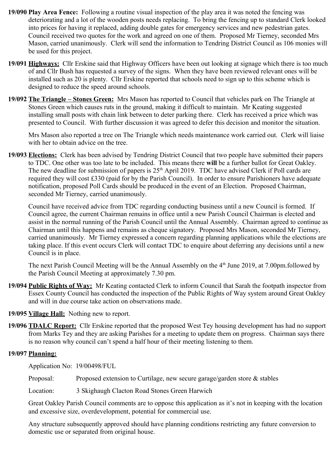- **19/090 Play Area Fence:** Following a routine visual inspection of the play area it was noted the fencing was deteriorating and a lot of the wooden posts needs replacing. To bring the fencing up to standard Clerk looked into prices for having it replaced, adding double gates for emergency services and new pedestrian gates. Council received two quotes for the work and agreed on one of them. Proposed Mr Tierney, seconded Mrs Mason, carried unanimously. Clerk will send the information to Tendring District Council as 106 monies will be used for this project.
- **19/091 Highways:** Cllr Erskine said that Highway Officers have been out looking at signage which there is too much of and Cllr Bush has requested a survey of the signs. When they have been reviewed relevant ones will be installed such as 20 is plenty. Cllr Erskine reported that schools need to sign up to this scheme which is designed to reduce the speed around schools.
- **19/092 The Triangle Stones Green:** Mrs Mason has reported to Council that vehicles park on The Triangle at Stones Green which causes ruts in the ground, making it difficult to maintain. Mr Keating suggested installing small posts with chain link between to deter parking there. Clerk has received a price which was presented to Council. With further discussion it was agreed to defer this decision and monitor the situation.

Mrs Mason also reported a tree on The Triangle which needs maintenance work carried out. Clerk will liaise with her to obtain advice on the tree.

**19/093 Elections:** Clerk has been advised by Tendring District Council that two people have submitted their papers to TDC. One other was too late to be included. This means there **will** be a further ballot for Great Oakley. The new deadline for submission of papers is  $25<sup>th</sup>$  April 2019. TDC have advised Clerk if Poll cards are required they will cost £330 (paid for by the Parish Council). In order to ensure Parishioners have adequate notification, proposed Poll Cards should be produced in the event of an Election. Proposed Chairman, seconded Mr Tierney, carried unanimously.

Council have received advice from TDC regarding conducting business until a new Council is formed. If Council agree, the current Chairman remains in office until a new Parish Council Chairman is elected and assist in the normal running of the Parish Council until the Annual Assembly. Chairman agreed to continue as Chairman until this happens and remains as cheque signatory. Proposed Mrs Mason, seconded Mr Tierney, carried unanimously. Mr Tierney expressed a concern regarding planning applications while the elections are taking place. If this event occurs Clerk will contact TDC to enquire about deferring any decisions until a new Council is in place.

The next Parish Council Meeting will be the Annual Assembly on the 4<sup>th</sup> June 2019, at 7.00pm.followed by the Parish Council Meeting at approximately 7.30 pm.

- **19/094 Public Rights of Way:** Mr Keating contacted Clerk to inform Council that Sarah the footpath inspector from Essex County Council has conducted the inspection of the Public Rights of Way system around Great Oakley and will in due course take action on observations made.
- **19/095 Village Hall:** Nothing new to report.
- **19/096 TDALC Report:** Cllr Erskine reported that the proposed West Tey housing development has had no support from Marks Tey and they are asking Parishes for a meeting to update them on progress. Chairman says there is no reason why council can't spend a half hour of their meeting listening to them.

#### **19/097 Planning:**

Application No: 19/00498/FUL

Proposal: Proposed extension to Curtilage, new secure garage/garden store & stables

Location: 3 Skighaugh Clacton Road Stones Green Harwich

Great Oakley Parish Council comments are to oppose this application as it's not in keeping with the location and excessive size, overdevelopment, potential for commercial use.

Any structure subsequently approved should have planning conditions restricting any future conversion to domestic use or separated from original house.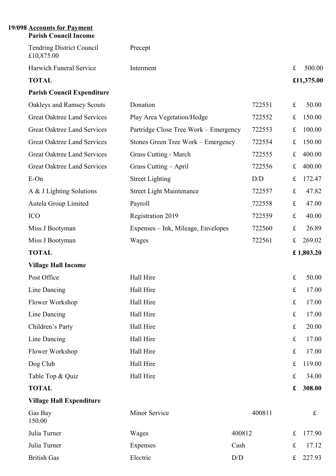### **19/098 Accounts for Payment Parish Council Income**

| <b>Tendring District Council</b><br>£10,875.00 | Precept                               |        |             |              |
|------------------------------------------------|---------------------------------------|--------|-------------|--------------|
| Harwich Funeral Service                        | Interment                             |        | $\mathbf f$ | 500.00       |
| <b>TOTAL</b>                                   |                                       |        |             | £11,375.00   |
| <b>Parish Council Expenditure</b>              |                                       |        |             |              |
| Oakleys and Ramsey Scouts                      | Donation                              | 722551 | $f_{\rm L}$ | 50.00        |
| <b>Great Oaktree Land Services</b>             | Play Area Vegetation/Hedge            | 722552 | $f_{\rm L}$ | 150.00       |
| <b>Great Oaktree Land Services</b>             | Partridge Close Tree Work – Emergency | 722553 | $f_{\rm L}$ | 100.00       |
| <b>Great Oaktree Land Services</b>             | Stones Green Tree Work – Emergency    | 722554 | £           | 150.00       |
| <b>Great Oaktree Land Services</b>             | Grass Cutting - March                 | 722555 | $\mathbf f$ | 400.00       |
| <b>Great Oaktree Land Services</b>             | Grass Cutting - April                 | 722556 | $\mathbf f$ | 400.00       |
| E-On                                           | <b>Street Lighting</b>                | D/D    | $f_{\rm L}$ | 172.47       |
| A & J Lighting Solutions                       | <b>Street Light Maintenance</b>       | 722557 | $\pounds$   | 47.82        |
| Autela Group Limited                           | Payroll                               | 722558 | $\mathbf f$ | 47.00        |
| <b>ICO</b>                                     | Registration 2019                     | 722559 | $\pounds$   | 40.00        |
| Miss J Bootyman                                | Expenses – Ink, Mileage, Envelopes    | 722560 | $f_{\rm L}$ | 26.89        |
| Miss J Bootyman                                | Wages                                 | 722561 | $f_{\rm L}$ | 269.02       |
| <b>TOTAL</b>                                   |                                       |        |             | £ $1,803.20$ |
| <b>Village Hall Income</b>                     |                                       |        |             |              |
| Post Office                                    | Hall Hire                             |        | $\pounds$   | 50.00        |
| Line Dancing                                   | Hall Hire                             |        | £           | 17.00        |
| Flower Workshop                                | Hall Hire                             |        | $\pounds$   | 17.00        |
| Line Dancing                                   | Hall Hire                             |        | $\pounds$   | 17.00        |
| Children's Party                               | Hall Hire                             |        | $\pounds$   | 20.00        |
| Line Dancing                                   | Hall Hire                             |        | $\pounds$   | 17.00        |
| Flower Workshop                                | Hall Hire                             |        | $\pounds$   | 17.00        |
| Dog Club                                       | Hall Hire                             |        | $f_{\rm L}$ | 119.00       |
| Table Top & Quiz                               | Hall Hire                             |        | $\mathbf f$ | 34.00        |
| <b>TOTAL</b>                                   |                                       |        | £           | 308.00       |
| <b>Village Hall Expenditure</b>                |                                       |        |             |              |
| Gas Bay<br>150.00                              | Minor Service                         | 400811 |             | £            |
| Julia Turner                                   | Wages                                 | 400812 | $\pounds$   | 177.90       |
| Julia Turner                                   | Expenses                              | Cash   | $\pounds$   | 17.12        |
| <b>British Gas</b>                             | Electric                              | D/D    | $\pounds$   | 227.93       |